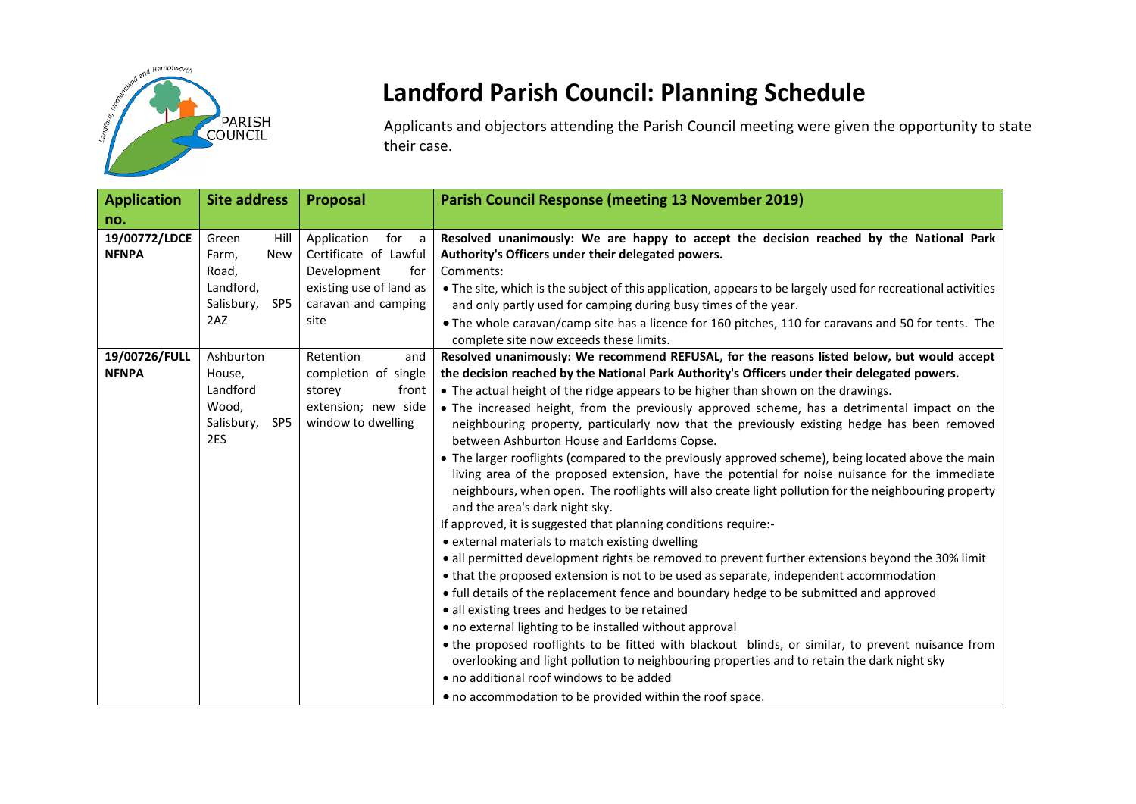

## **Landford Parish Council: Planning Schedule**

Applicants and objectors attending the Parish Council meeting were given the opportunity to state their case.

| <b>Application</b>            | <b>Site address</b>                                                                                | Proposal                                                                                                                      | <b>Parish Council Response (meeting 13 November 2019)</b>                                                                                                                                                                                                                                                                                                                                                                                                                                                                                                                                                                                                                                                                                                                                                                                                                                                                                                                                                                                                                                                                                                                                                                                                                                                                                                                                                                                                                                                                                                                                                                 |
|-------------------------------|----------------------------------------------------------------------------------------------------|-------------------------------------------------------------------------------------------------------------------------------|---------------------------------------------------------------------------------------------------------------------------------------------------------------------------------------------------------------------------------------------------------------------------------------------------------------------------------------------------------------------------------------------------------------------------------------------------------------------------------------------------------------------------------------------------------------------------------------------------------------------------------------------------------------------------------------------------------------------------------------------------------------------------------------------------------------------------------------------------------------------------------------------------------------------------------------------------------------------------------------------------------------------------------------------------------------------------------------------------------------------------------------------------------------------------------------------------------------------------------------------------------------------------------------------------------------------------------------------------------------------------------------------------------------------------------------------------------------------------------------------------------------------------------------------------------------------------------------------------------------------------|
| no.                           |                                                                                                    |                                                                                                                               |                                                                                                                                                                                                                                                                                                                                                                                                                                                                                                                                                                                                                                                                                                                                                                                                                                                                                                                                                                                                                                                                                                                                                                                                                                                                                                                                                                                                                                                                                                                                                                                                                           |
| 19/00772/LDCE<br><b>NFNPA</b> | Green<br>Hill<br>Farm,<br><b>New</b><br>Road,<br>Landford,<br>Salisbury,<br>SP <sub>5</sub><br>2AZ | Application<br>for a<br>Certificate of Lawful<br>Development<br>for<br>existing use of land as<br>caravan and camping<br>site | Resolved unanimously: We are happy to accept the decision reached by the National Park<br>Authority's Officers under their delegated powers.<br>Comments:<br>• The site, which is the subject of this application, appears to be largely used for recreational activities<br>and only partly used for camping during busy times of the year.<br>. The whole caravan/camp site has a licence for 160 pitches, 110 for caravans and 50 for tents. The<br>complete site now exceeds these limits.                                                                                                                                                                                                                                                                                                                                                                                                                                                                                                                                                                                                                                                                                                                                                                                                                                                                                                                                                                                                                                                                                                                            |
| 19/00726/FULL                 | Ashburton                                                                                          | Retention<br>and                                                                                                              | Resolved unanimously: We recommend REFUSAL, for the reasons listed below, but would accept                                                                                                                                                                                                                                                                                                                                                                                                                                                                                                                                                                                                                                                                                                                                                                                                                                                                                                                                                                                                                                                                                                                                                                                                                                                                                                                                                                                                                                                                                                                                |
| <b>NFNPA</b>                  | House,<br>Landford<br>Wood.<br>Salisbury,<br>SP5<br>2ES                                            | completion of single<br>front<br>storey<br>extension; new side<br>window to dwelling                                          | the decision reached by the National Park Authority's Officers under their delegated powers.<br>• The actual height of the ridge appears to be higher than shown on the drawings.<br>• The increased height, from the previously approved scheme, has a detrimental impact on the<br>neighbouring property, particularly now that the previously existing hedge has been removed<br>between Ashburton House and Earldoms Copse.<br>• The larger rooflights (compared to the previously approved scheme), being located above the main<br>living area of the proposed extension, have the potential for noise nuisance for the immediate<br>neighbours, when open. The rooflights will also create light pollution for the neighbouring property<br>and the area's dark night sky.<br>If approved, it is suggested that planning conditions require:-<br>• external materials to match existing dwelling<br>• all permitted development rights be removed to prevent further extensions beyond the 30% limit<br>• that the proposed extension is not to be used as separate, independent accommodation<br>• full details of the replacement fence and boundary hedge to be submitted and approved<br>• all existing trees and hedges to be retained<br>• no external lighting to be installed without approval<br>. the proposed rooflights to be fitted with blackout blinds, or similar, to prevent nuisance from<br>overlooking and light pollution to neighbouring properties and to retain the dark night sky<br>• no additional roof windows to be added<br>• no accommodation to be provided within the roof space. |